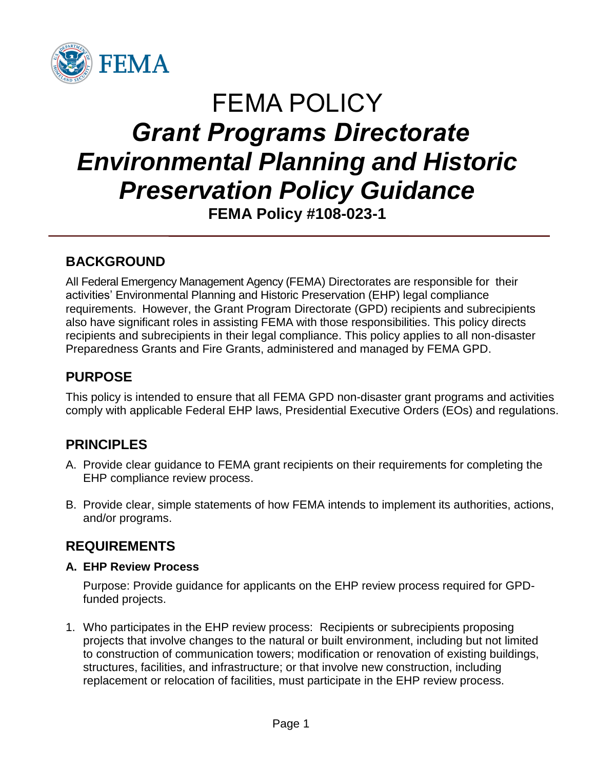

# FEMA POLICY *Grant Programs Directorate Environmental Planning and Historic Preservation Policy Guidance* **FEMA Policy #108-023-1**

**BACKGROUND**

All Federal Emergency Management Agency (FEMA) Directorates are responsible for their activities' Environmental Planning and Historic Preservation (EHP) legal compliance requirements. However, the Grant Program Directorate (GPD) recipients and subrecipients also have significant roles in assisting FEMA with those responsibilities. This policy directs recipients and subrecipients in their legal compliance. This policy applies to all non-disaster Preparedness Grants and Fire Grants, administered and managed by FEMA GPD.

## **PURPOSE**

This policy is intended to ensure that all FEMA GPD non-disaster grant programs and activities comply with applicable Federal EHP laws, Presidential Executive Orders (EOs) and regulations.

# **PRINCIPLES**

- A. Provide clear guidance to FEMA grant recipients on their requirements for completing the EHP compliance review process.
- B. Provide clear, simple statements of how FEMA intends to implement its authorities, actions, and/or programs.

## **REQUIREMENTS**

#### **A. EHP Review Process**

Purpose: Provide guidance for applicants on the EHP review process required for GPDfunded projects.

1. Who participates in the EHP review process: Recipients or subrecipients proposing projects that involve changes to the natural or built environment, including but not limited to construction of communication towers; modification or renovation of existing buildings, structures, facilities, and infrastructure; or that involve new construction, including replacement or relocation of facilities, must participate in the EHP review process.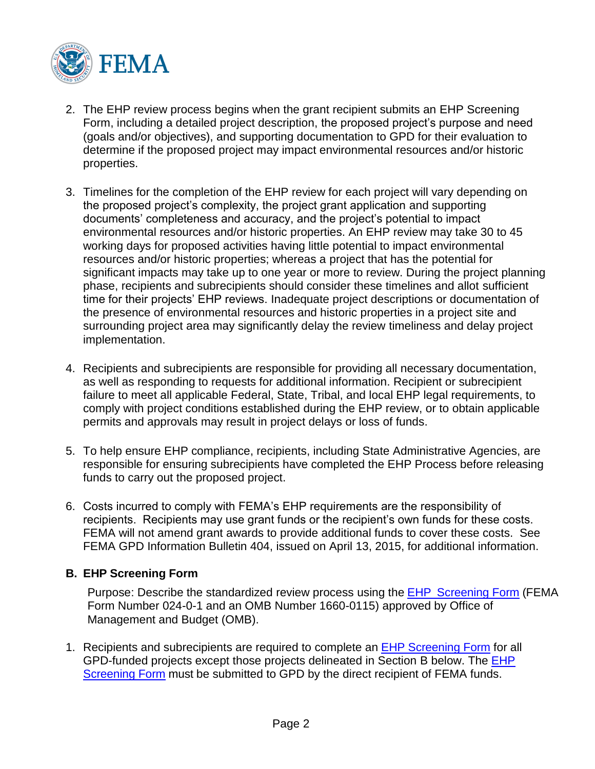

- 2. The EHP review process begins when the grant recipient submits an EHP Screening Form, including a detailed project description, the proposed project's purpose and need (goals and/or objectives), and supporting documentation to GPD for their evaluation to determine if the proposed project may impact environmental resources and/or historic properties.
- 3. Timelines for the completion of the EHP review for each project will vary depending on the proposed project's complexity, the project grant application and supporting documents' completeness and accuracy, and the project's potential to impact environmental resources and/or historic properties. An EHP review may take 30 to 45 working days for proposed activities having little potential to impact environmental resources and/or historic properties; whereas a project that has the potential for significant impacts may take up to one year or more to review. During the project planning phase, recipients and subrecipients should consider these timelines and allot sufficient time for their projects' EHP reviews. Inadequate project descriptions or documentation of the presence of environmental resources and historic properties in a project site and surrounding project area may significantly delay the review timeliness and delay project implementation.
- 4. Recipients and subrecipients are responsible for providing all necessary documentation, as well as responding to requests for additional information. Recipient or subrecipient failure to meet all applicable Federal, State, Tribal, and local EHP legal requirements, to comply with project conditions established during the EHP review, or to obtain applicable permits and approvals may result in project delays or loss of funds.
- 5. To help ensure EHP compliance, recipients, including State Administrative Agencies, are responsible for ensuring subrecipients have completed the EHP Process before releasing funds to carry out the proposed project.
- 6. Costs incurred to comply with FEMA's EHP requirements are the responsibility of recipients. Recipients may use grant funds or the recipient's own funds for these costs. FEMA will not amend grant awards to provide additional funds to cover these costs. See FEMA GPD Information Bulletin 404, issued on April 13, 2015, for additional information.

#### **B. EHP Screening Form**

Purpose: Describe the standardized review process using the **EHP [Screening](http://www.fema.gov/media-library/assets/documents/90195) Form** (FEMA Form Number 024-0-1 and an OMB Number 1660-0115) approved by Office of Management and Budget (OMB).

1. Recipients and subrecipients are required to complete an EHP [Screening](http://www.fema.gov/media-library/assets/documents/90195) Form for all GPD-funded projects except those projects delineated in Section B below. The [EHP](http://www.fema.gov/media-library/assets/documents/90195) [Screening](http://www.fema.gov/media-library/assets/documents/90195) Form must be submitted to GPD by the direct recipient of FEMA funds.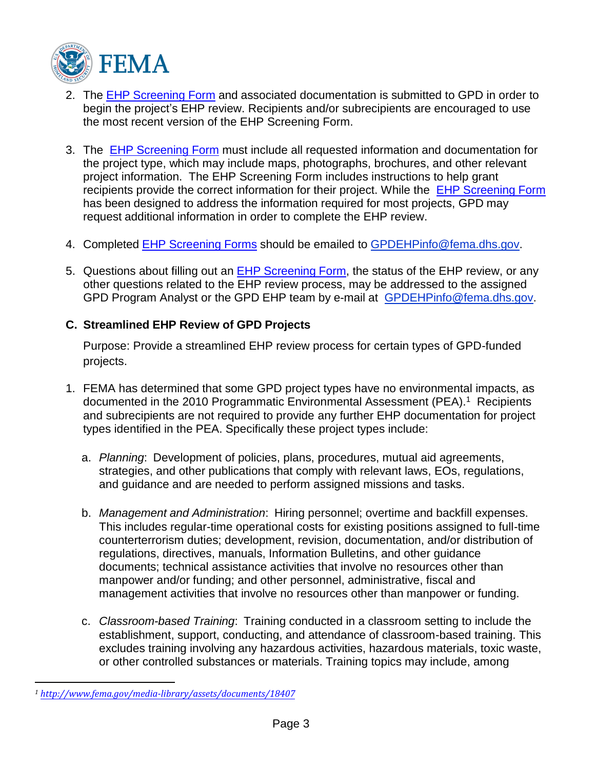

- 2. The [EHP Screening Form](http://www.fema.gov/media-library/assets/documents/90195) and associated documentation is submitted to GPD in order to begin the project's EHP review. Recipients and/or subrecipients are encouraged to use the most recent version of the EHP Screening Form.
- 3. The [EHP Screening Form](http://www.fema.gov/media-library/assets/documents/90195) must include all requested information and documentation for the project type, which may include maps, photographs, brochures, and other relevant project information. The EHP Screening Form includes instructions to help grant recipients provide the correct information for their project. While the [EHP Screening Form](http://www.fema.gov/media-library/assets/documents/90195) has been designed to address the information required for most projects, GPD may request additional information in order to complete the EHP review.
- 4. Completed [EHP Screening Forms](http://www.fema.gov/media-library/assets/documents/90195) should be emailed to [GPDEHPinfo@fema.dhs.gov.](mailto:GPDEHPinfo@fema.dhs.gov)
- 5. Questions about filling out an **EHP Screening Form**, the status of the EHP review, or any other questions related to the EHP review process, may be addressed to the assigned GPD Program Analyst or the GPD EHP team by e-mail at [GPDEHPinfo@fema.dhs.gov.](mailto:GPDEHPinfo@fema.dhs.gov)

#### **C. Streamlined EHP Review of GPD Projects**

Purpose: Provide a streamlined EHP review process for certain types of GPD-funded projects.

- 1. FEMA has determined that some GPD project types have no environmental impacts, as documented in the 2010 Programmatic Environmental Assessment (PEA).<sup>1</sup> Recipients and subrecipients are not required to provide any further EHP documentation for project types identified in the PEA. Specifically these project types include:
	- a. *Planning*: Development of policies, plans, procedures, mutual aid agreements, strategies, and other publications that comply with relevant laws, EOs, regulations, and guidance and are needed to perform assigned missions and tasks.
	- b. *Management and Administration*: Hiring personnel; overtime and backfill expenses. This includes regular-time operational costs for existing positions assigned to full-time counterterrorism duties; development, revision, documentation, and/or distribution of regulations, directives, manuals, Information Bulletins, and other guidance documents; technical assistance activities that involve no resources other than manpower and/or funding; and other personnel, administrative, fiscal and management activities that involve no resources other than manpower or funding.
	- c. *Classroom-based Training*: Training conducted in a classroom setting to include the establishment, support, conducting, and attendance of classroom-based training. This excludes training involving any hazardous activities, hazardous materials, toxic waste, or other controlled substances or materials. Training topics may include, among

*<sup>1</sup> <http://www.fema.gov/media-library/assets/documents/18407>*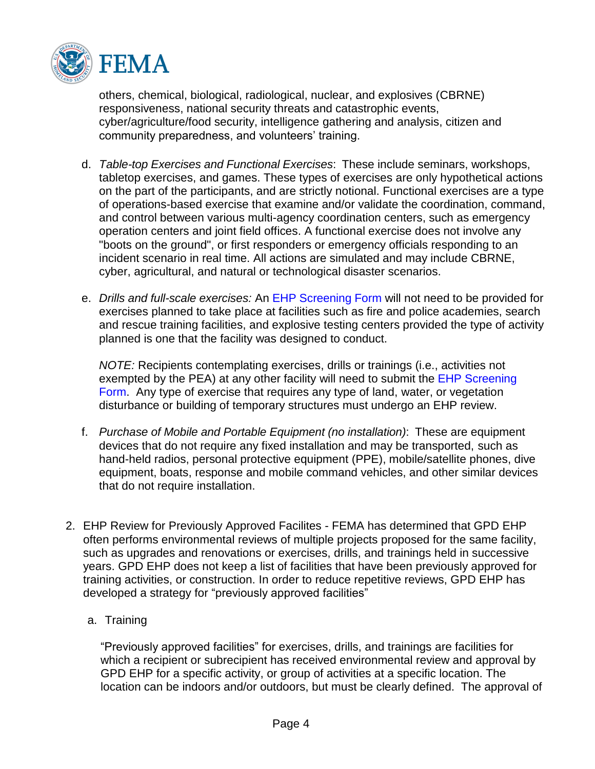

others, chemical, biological, radiological, nuclear, and explosives (CBRNE) responsiveness, national security threats and catastrophic events, cyber/agriculture/food security, intelligence gathering and analysis, citizen and community preparedness, and volunteers' training.

- d. *Table-top Exercises and Functional Exercises*: These include seminars, workshops, tabletop exercises, and games. These types of exercises are only hypothetical actions on the part of the participants, and are strictly notional. Functional exercises are a type of operations-based exercise that examine and/or validate the coordination, command, and control between various multi-agency coordination centers, such as emergency operation centers and joint field offices. A functional exercise does not involve any "boots on the ground", or first responders or emergency officials responding to an incident scenario in real time. All actions are simulated and may include CBRNE, cyber, agricultural, and natural or technological disaster scenarios.
- e. *Drills and full-scale exercises:* An EHP [Screening](http://www.fema.gov/media-library/assets/documents/90195) Form will not need to be provided for exercises planned to take place at facilities such as fire and police academies, search and rescue training facilities, and explosive testing centers provided the type of activity planned is one that the facility was designed to conduct.

*NOTE:* Recipients contemplating exercises, drills or trainings (i.e., activities not exempted by the PEA) at any other facility will need to submit the EHP [Screening](http://www.fema.gov/media-library/assets/documents/90195) [Form.](http://www.fema.gov/media-library/assets/documents/90195) Any type of exercise that requires any type of land, water, or vegetation disturbance or building of temporary structures must undergo an EHP review.

- f. *Purchase of Mobile and Portable Equipment (no installation)*: These are equipment devices that do not require any fixed installation and may be transported, such as hand-held radios, personal protective equipment (PPE), mobile/satellite phones, dive equipment, boats, response and mobile command vehicles, and other similar devices that do not require installation.
- 2. EHP Review for Previously Approved Facilites FEMA has determined that GPD EHP often performs environmental reviews of multiple projects proposed for the same facility, such as upgrades and renovations or exercises, drills, and trainings held in successive years. GPD EHP does not keep a list of facilities that have been previously approved for training activities, or construction. In order to reduce repetitive reviews, GPD EHP has developed a strategy for "previously approved facilities"
	- a. Training

"Previously approved facilities" for exercises, drills, and trainings are facilities for which a recipient or subrecipient has received environmental review and approval by GPD EHP for a specific activity, or group of activities at a specific location. The location can be indoors and/or outdoors, but must be clearly defined. The approval of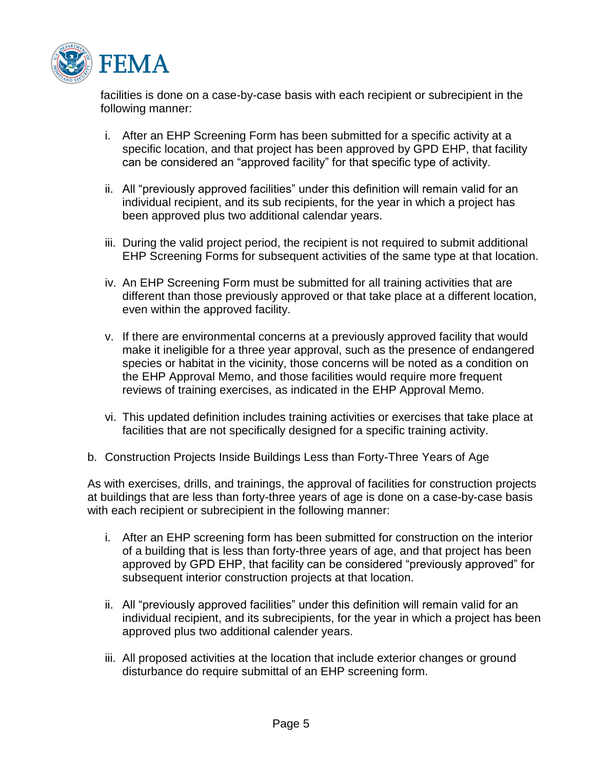

facilities is done on a case-by-case basis with each recipient or subrecipient in the following manner:

- i. After an EHP Screening Form has been submitted for a specific activity at a specific location, and that project has been approved by GPD EHP, that facility can be considered an "approved facility" for that specific type of activity.
- ii. All "previously approved facilities" under this definition will remain valid for an individual recipient, and its sub recipients, for the year in which a project has been approved plus two additional calendar years.
- iii. During the valid project period, the recipient is not required to submit additional EHP Screening Forms for subsequent activities of the same type at that location.
- iv. An EHP Screening Form must be submitted for all training activities that are different than those previously approved or that take place at a different location, even within the approved facility.
- v. If there are environmental concerns at a previously approved facility that would make it ineligible for a three year approval, such as the presence of endangered species or habitat in the vicinity, those concerns will be noted as a condition on the EHP Approval Memo, and those facilities would require more frequent reviews of training exercises, as indicated in the EHP Approval Memo.
- vi. This updated definition includes training activities or exercises that take place at facilities that are not specifically designed for a specific training activity.
- b. Construction Projects Inside Buildings Less than Forty-Three Years of Age

As with exercises, drills, and trainings, the approval of facilities for construction projects at buildings that are less than forty-three years of age is done on a case-by-case basis with each recipient or subrecipient in the following manner:

- i. After an EHP screening form has been submitted for construction on the interior of a building that is less than forty-three years of age, and that project has been approved by GPD EHP, that facility can be considered "previously approved" for subsequent interior construction projects at that location.
- ii. All "previously approved facilities" under this definition will remain valid for an individual recipient, and its subrecipients, for the year in which a project has been approved plus two additional calender years.
- iii. All proposed activities at the location that include exterior changes or ground disturbance do require submittal of an EHP screening form.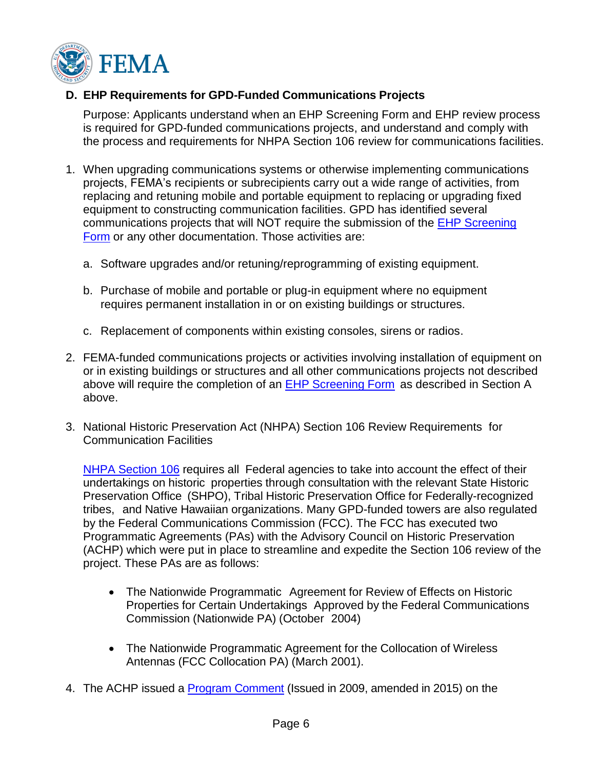

#### **D. EHP Requirements for GPD-Funded Communications Projects**

Purpose: Applicants understand when an EHP Screening Form and EHP review process is required for GPD-funded communications projects, and understand and comply with the process and requirements for NHPA Section 106 review for communications facilities.

- 1. When upgrading communications systems or otherwise implementing communications projects, FEMA's recipients or subrecipients carry out a wide range of activities, from replacing and retuning mobile and portable equipment to replacing or upgrading fixed equipment to constructing communication facilities. GPD has identified several communications projects that will NOT require the submission of the EHP [Screening](http://www.fema.gov/media-library/assets/documents/90195) [Form](http://www.fema.gov/media-library/assets/documents/90195) or any other documentation. Those activities are:
	- a. Software upgrades and/or retuning/reprogramming of existing equipment.
	- b. Purchase of mobile and portable or plug-in equipment where no equipment requires permanent installation in or on existing buildings or structures.
	- c. Replacement of components within existing consoles, sirens or radios.
- 2. FEMA-funded communications projects or activities involving installation of equipment on or in existing buildings or structures and all other communications projects not described above will require the completion of an EHP [Screening](http://www.fema.gov/media-library/assets/documents/90195) Form as described in Section A above.
- 3. National Historic Preservation Act (NHPA) Section 106 Review Requirements for Communication Facilities

NHPA [Section](http://www.achp.gov/usersguide.html) 106 requires all Federal agencies to take into account the effect of their undertakings on historic properties through consultation with the relevant State Historic Preservation Office (SHPO), Tribal Historic Preservation Office for Federally-recognized tribes, and Native Hawaiian organizations. Many GPD-funded towers are also regulated by the Federal Communications Commission (FCC). The FCC has executed two Programmatic Agreements (PAs) with the Advisory Council on Historic Preservation (ACHP) which were put in place to streamline and expedite the Section 106 review of the project. These PAs are as follows:

- The Nationwide Programmatic Agreement for Review of Effects on Historic Properties for Certain Undertakings Approved by the Federal Communications Commission (Nationwide PA) (October 2004)
- The Nationwide Programmatic Agreement for the Collocation of Wireless Antennas (FCC Collocation PA) (March 2001).
- 4. The ACHP issued a [Program Comment](https://www.federalregister.gov/articles/2015/09/30/2015-24713/notice-of-amendment-to-program-comment-to-avoid-duplicative-reviews-for-wireless-communications) (Issued in 2009, amended in 2015) on the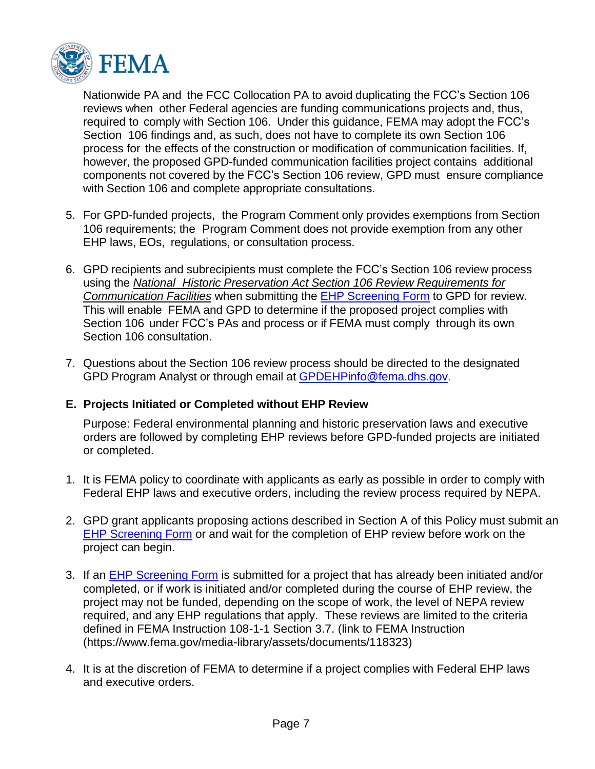

Nationwide PA and the FCC Collocation PA to avoid duplicating the FCC's Section 106 reviews when other Federal agencies are funding communications projects and, thus, required to comply with Section 106. Under this guidance, FEMA may adopt the FCC's Section 106 findings and, as such, does not have to complete its own Section 106 process for the effects of the construction or modification of communication facilities. If, however, the proposed GPD-funded communication facilities project contains additional components not covered by the FCC's Section 106 review, GPD must ensure compliance with Section 106 and complete appropriate consultations.

- 5. For GPD-funded projects, the Program Comment only provides exemptions from Section 106 requirements; the Program Comment does not provide exemption from any other EHP laws, EOs, regulations, or consultation process.
- 6. GPD recipients and subrecipients must complete the FCC's Section 106 review process using the *National Historic Preservation Act Section 106 Review [Requirements](https://www.fema.gov/media-library/assets/documents/24834) for [Communication](https://www.fema.gov/media-library/assets/documents/24834) Facilities* when submitting the EHP [Screening](http://www.fema.gov/media-library/assets/documents/90195) Form to GPD for review. This will enable FEMA and GPD to determine if the proposed project complies with Section 106 under FCC's PAs and process or if FEMA must comply through its own Section 106 consultation.
- 7. Questions about the Section 106 review process should be directed to the designated GPD Program Analyst or through email at [GPDEHPinfo@fema.dhs.gov.](mailto:GPDEHPinfo@fema.dhs.gov)

#### **E. Projects Initiated or Completed without EHP Review**

Purpose: Federal environmental planning and historic preservation laws and executive orders are followed by completing EHP reviews before GPD-funded projects are initiated or completed.

- 1. It is FEMA policy to coordinate with applicants as early as possible in order to comply with Federal EHP laws and executive orders, including the review process required by NEPA.
- 2. GPD grant applicants proposing actions described in Section A of this Policy must submit an EHP [Screening](http://www.fema.gov/media-library/assets/documents/90195) Form or and wait for the completion of EHP review before work on the project can begin.
- 3. If an EHP [Screening](http://www.fema.gov/media-library/assets/documents/90195) Form is submitted for a project that has already been initiated and/or completed, or if work is initiated and/or completed during the course of EHP review, the project may not be funded, depending on the scope of work, the level of NEPA review required, and any EHP regulations that apply. These reviews are limited to the criteria defined in FEMA Instruction 108-1-1 Section 3.7. (link to FEMA Instruction (https://www.fema.gov/media-library/assets/documents/118323)
- 4. It is at the discretion of FEMA to determine if a project complies with Federal EHP laws and executive orders.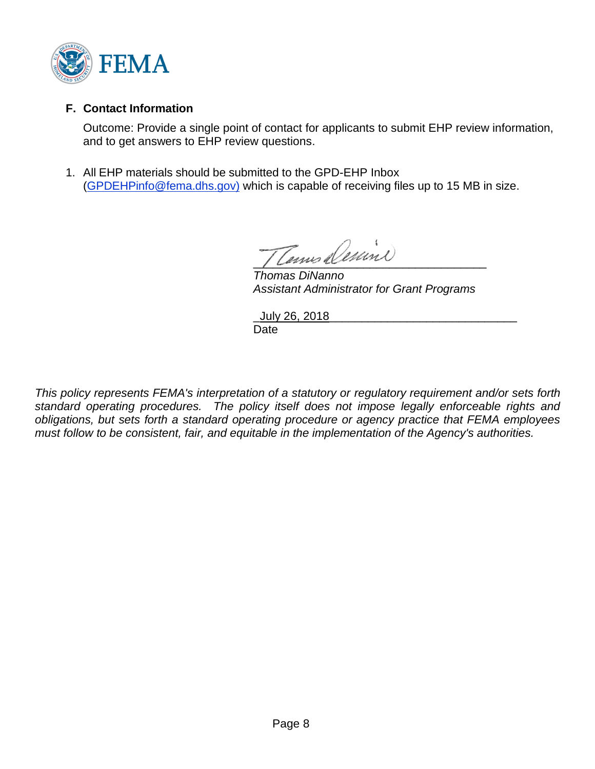

#### **F. Contact Information**

Outcome: Provide a single point of contact for applicants to submit EHP review information, and to get answers to EHP review questions.

1. All EHP materials should be submitted to the GPD-EHP Inbox [\(GPDEHPinfo@fema.dhs.gov\)](mailto:GPDEHPinfo@fema.dhs.gov) which is capable of receiving files up to 15 MB in size.

Tenus Demino

*Thomas DiNanno Assistant Administrator for Grant Programs*

\_July 26, 2018\_\_\_\_\_\_\_\_\_\_\_\_\_\_\_\_\_\_\_\_\_\_\_\_\_\_\_\_\_ Date

*This policy represents FEMA's interpretation of a statutory or regulatory requirement and/or sets forth standard operating procedures. The policy itself does not impose legally enforceable rights and obligations, but sets forth a standard operating procedure or agency practice that FEMA employees must follow to be consistent, fair, and equitable in the implementation of the Agency's authorities.*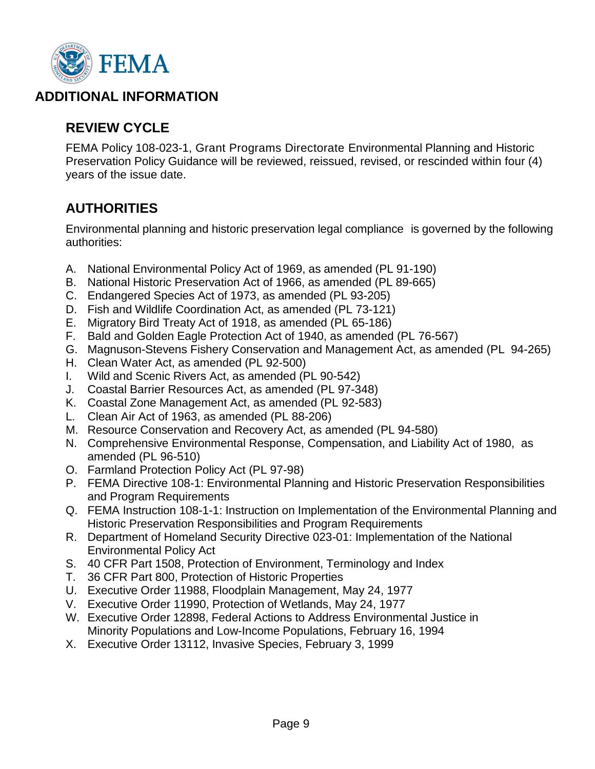

### **ADDITIONAL INFORMATION**

# **REVIEW CYCLE**

FEMA Policy 108-023-1, Grant Programs Directorate Environmental Planning and Historic Preservation Policy Guidance will be reviewed, reissued, revised, or rescinded within four (4) years of the issue date.

## **AUTHORITIES**

Environmental planning and historic preservation legal compliance is governed by the following authorities:

- A. National Environmental Policy Act of 1969, as amended (PL 91-190)
- B. National Historic Preservation Act of 1966, as amended (PL 89-665)
- C. Endangered Species Act of 1973, as amended (PL 93-205)
- D. Fish and Wildlife Coordination Act, as amended (PL 73-121)
- E. Migratory Bird Treaty Act of 1918, as amended (PL 65-186)
- F. Bald and Golden Eagle Protection Act of 1940, as amended (PL 76-567)
- G. Magnuson-Stevens Fishery Conservation and Management Act, as amended (PL 94-265)
- H. Clean Water Act, as amended (PL 92-500)
- I. Wild and Scenic Rivers Act, as amended (PL 90-542)
- J. Coastal Barrier Resources Act, as amended (PL 97-348)
- K. Coastal Zone Management Act, as amended (PL 92-583)
- L. Clean Air Act of 1963, as amended (PL 88-206)
- M. Resource Conservation and Recovery Act, as amended (PL 94-580)
- N. Comprehensive Environmental Response, Compensation, and Liability Act of 1980, as amended (PL 96-510)
- O. Farmland Protection Policy Act (PL 97-98)
- P. FEMA Directive 108-1: Environmental Planning and Historic Preservation Responsibilities and Program Requirements
- Q. FEMA Instruction 108-1-1: Instruction on Implementation of the Environmental Planning and Historic Preservation Responsibilities and Program Requirements
- R. Department of Homeland Security Directive 023-01: Implementation of the National Environmental Policy Act
- S. 40 CFR Part 1508, Protection of Environment, Terminology and Index
- T. 36 CFR Part 800, Protection of Historic Properties
- U. Executive Order 11988, Floodplain Management, May 24, 1977
- V. Executive Order 11990, Protection of Wetlands, May 24, 1977
- W. Executive Order 12898, Federal Actions to Address Environmental Justice in Minority Populations and Low-Income Populations, February 16, 1994
- X. Executive Order 13112, Invasive Species, February 3, 1999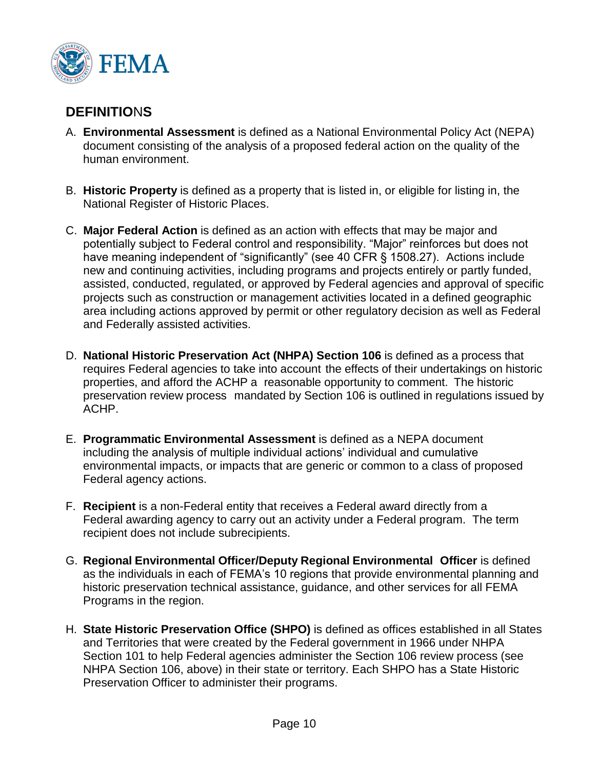

## **DEFINITIO**N**S**

- A. **Environmental Assessment** is defined as a National Environmental Policy Act (NEPA) document consisting of the analysis of a proposed federal action on the quality of the human environment.
- B. **Historic Property** is defined as a property that is listed in, or eligible for listing in, the National Register of Historic Places.
- C. **Major Federal Action** is defined as an action with effects that may be major and potentially subject to Federal control and responsibility. "Major" reinforces but does not have meaning independent of "significantly" (see 40 CFR § 1508.27). Actions include new and continuing activities, including programs and projects entirely or partly funded, assisted, conducted, regulated, or approved by Federal agencies and approval of specific projects such as construction or management activities located in a defined geographic area including actions approved by permit or other regulatory decision as well as Federal and Federally assisted activities.
- D. **National Historic Preservation Act (NHPA) Section 106** is defined as a process that requires Federal agencies to take into account the effects of their undertakings on historic properties, and afford the ACHP a reasonable opportunity to comment. The historic preservation review process mandated by Section 106 is outlined in regulations issued by ACHP.
- E. **Programmatic Environmental Assessment** is defined as a NEPA document including the analysis of multiple individual actions' individual and cumulative environmental impacts, or impacts that are generic or common to a class of proposed Federal agency actions.
- F. **Recipient** is a non-Federal entity that receives a Federal award directly from a Federal awarding agency to carry out an activity under a Federal program. The term recipient does not include subrecipients.
- G. **Regional Environmental Officer/Deputy Regional Environmental Officer** is defined as the individuals in each of FEMA's 10 regions that provide environmental planning and historic preservation technical assistance, guidance, and other services for all FEMA Programs in the region.
- H. **State Historic Preservation Office (SHPO)** is defined as offices established in all States and Territories that were created by the Federal government in 1966 under NHPA Section 101 to help Federal agencies administer the Section 106 review process (see NHPA Section 106, above) in their state or territory. Each SHPO has a State Historic Preservation Officer to administer their programs.